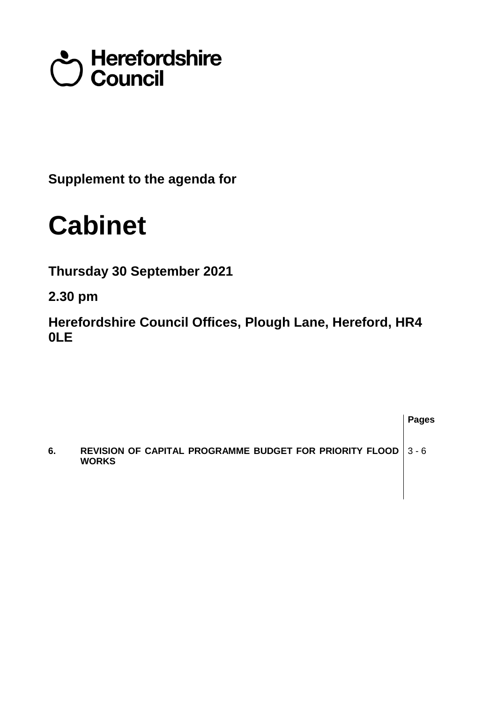# Council<br>Council

**Supplement to the agenda for**

## **Cabinet**

**Thursday 30 September 2021**

**2.30 pm**

**Herefordshire Council Offices, Plough Lane, Hereford, HR4 0LE**

**Pages 6. REVISION OF CAPITAL PROGRAMME BUDGET FOR PRIORITY FLOOD WORKS**  3 - 6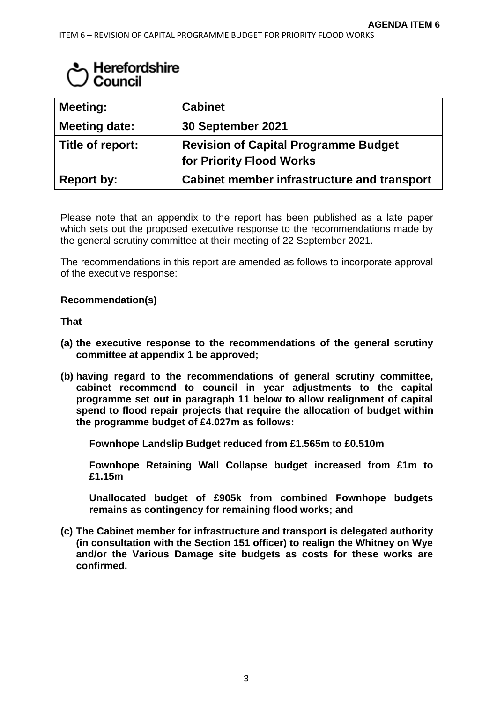### $\mathcal{L}$  Herefordshire Council

| <b>Meeting:</b>      | <b>Cabinet</b>                              |
|----------------------|---------------------------------------------|
| <b>Meeting date:</b> | 30 September 2021                           |
| Title of report:     | <b>Revision of Capital Programme Budget</b> |
|                      | for Priority Flood Works                    |
| <b>Report by:</b>    | Cabinet member infrastructure and transport |

Please note that an appendix to the report has been published as a late paper which sets out the proposed executive response to the recommendations made by the general scrutiny committee at their meeting of 22 September 2021.

The recommendations in this report are amended as follows to incorporate approval of the executive response:

#### **Recommendation(s)**

**That**

- **(a) the executive response to the recommendations of the general scrutiny committee at appendix 1 be approved;**
- **(b) having regard to the recommendations of general scrutiny committee, cabinet recommend to council in year adjustments to the capital programme set out in paragraph 11 below to allow realignment of capital spend to flood repair projects that require the allocation of budget within the programme budget of £4.027m as follows:**

**Fownhope Landslip Budget reduced from £1.565m to £0.510m**

**Fownhope Retaining Wall Collapse budget increased from £1m to £1.15m**

**Unallocated budget of £905k from combined Fownhope budgets remains as contingency for remaining flood works; and**

**(c) The Cabinet member for infrastructure and transport is delegated authority (in consultation with the Section 151 officer) to realign the Whitney on Wye and/or the Various Damage site budgets as costs for these works are confirmed.**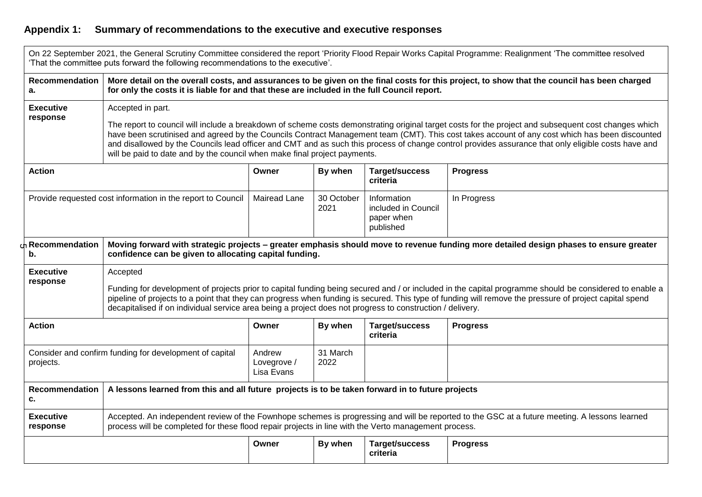#### **Appendix 1: Summary of recommendations to the executive and executive responses**

|                                                                      | 'That the committee puts forward the following recommendations to the executive'.                                                                                                                                                                                                                                                                                                                                                                                                                                                                               |                                     |                    |                                                               | On 22 September 2021, the General Scrutiny Committee considered the report 'Priority Flood Repair Works Capital Programme: Realignment 'The committee resolved |  |  |
|----------------------------------------------------------------------|-----------------------------------------------------------------------------------------------------------------------------------------------------------------------------------------------------------------------------------------------------------------------------------------------------------------------------------------------------------------------------------------------------------------------------------------------------------------------------------------------------------------------------------------------------------------|-------------------------------------|--------------------|---------------------------------------------------------------|----------------------------------------------------------------------------------------------------------------------------------------------------------------|--|--|
| <b>Recommendation</b><br>a.                                          | More detail on the overall costs, and assurances to be given on the final costs for this project, to show that the council has been charged<br>for only the costs it is liable for and that these are included in the full Council report.                                                                                                                                                                                                                                                                                                                      |                                     |                    |                                                               |                                                                                                                                                                |  |  |
| <b>Executive</b><br>response                                         | Accepted in part.<br>The report to council will include a breakdown of scheme costs demonstrating original target costs for the project and subsequent cost changes which<br>have been scrutinised and agreed by the Councils Contract Management team (CMT). This cost takes account of any cost which has been discounted<br>and disallowed by the Councils lead officer and CMT and as such this process of change control provides assurance that only eligible costs have and<br>will be paid to date and by the council when make final project payments. |                                     |                    |                                                               |                                                                                                                                                                |  |  |
| <b>Action</b>                                                        |                                                                                                                                                                                                                                                                                                                                                                                                                                                                                                                                                                 | Owner                               | By when            | Target/success<br>criteria                                    | <b>Progress</b>                                                                                                                                                |  |  |
| Provide requested cost information in the report to Council          |                                                                                                                                                                                                                                                                                                                                                                                                                                                                                                                                                                 | <b>Mairead Lane</b>                 | 30 October<br>2021 | Information<br>included in Council<br>paper when<br>published | In Progress                                                                                                                                                    |  |  |
| Recommendation<br>b.                                                 | Moving forward with strategic projects - greater emphasis should move to revenue funding more detailed design phases to ensure greater<br>confidence can be given to allocating capital funding.                                                                                                                                                                                                                                                                                                                                                                |                                     |                    |                                                               |                                                                                                                                                                |  |  |
| <b>Executive</b><br>response                                         | Accepted<br>Funding for development of projects prior to capital funding being secured and / or included in the capital programme should be considered to enable a<br>pipeline of projects to a point that they can progress when funding is secured. This type of funding will remove the pressure of project capital spend<br>decapitalised if on individual service area being a project does not progress to construction / delivery.                                                                                                                       |                                     |                    |                                                               |                                                                                                                                                                |  |  |
| <b>Action</b>                                                        |                                                                                                                                                                                                                                                                                                                                                                                                                                                                                                                                                                 | Owner                               | By when            | Target/success<br>criteria                                    | <b>Progress</b>                                                                                                                                                |  |  |
| Consider and confirm funding for development of capital<br>projects. |                                                                                                                                                                                                                                                                                                                                                                                                                                                                                                                                                                 | Andrew<br>Lovegrove /<br>Lisa Evans | 31 March<br>2022   |                                                               |                                                                                                                                                                |  |  |
| <b>Recommendation</b><br>c.                                          | A lessons learned from this and all future projects is to be taken forward in to future projects                                                                                                                                                                                                                                                                                                                                                                                                                                                                |                                     |                    |                                                               |                                                                                                                                                                |  |  |
| <b>Executive</b><br>response                                         | Accepted. An independent review of the Fownhope schemes is progressing and will be reported to the GSC at a future meeting. A lessons learned<br>process will be completed for these flood repair projects in line with the Verto management process.                                                                                                                                                                                                                                                                                                           |                                     |                    |                                                               |                                                                                                                                                                |  |  |
|                                                                      |                                                                                                                                                                                                                                                                                                                                                                                                                                                                                                                                                                 | Owner                               | By when            | Target/success<br>criteria                                    | <b>Progress</b>                                                                                                                                                |  |  |